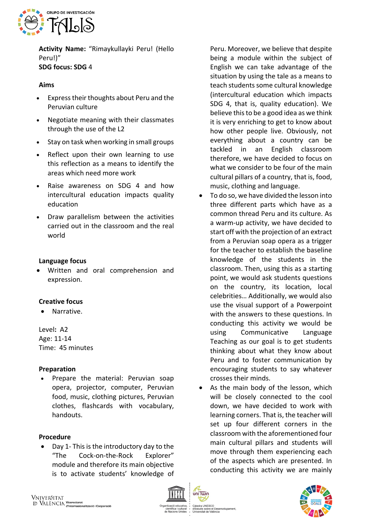

**Activity Name:** "Rimaykullayki Peru! (Hello Peru!)" **SDG focus: SDG** 4

## **Aims**

- Express their thoughts about Peru and the Peruvian culture
- Negotiate meaning with their classmates through the use of the L2
- Stay on task when working in small groups
- Reflect upon their own learning to use this reflection as a means to identify the areas which need more work
- Raise awareness on SDG 4 and how intercultural education impacts quality education
- Draw parallelism between the activities carried out in the classroom and the real world

## **Language focus**

• Written and oral comprehension and expression.

# **Creative focus**

• Narrative.

Level**:** A2 Age: 11-14 Time: 45 minutes

# **Preparation**

• Prepare the material: Peruvian soap opera, projector, computer, Peruvian food, music, clothing pictures, Peruvian clothes, flashcards with vocabulary, handouts.

# **Procedure**

• Day 1- This is the introductory day to the "The Cock-on-the-Rock Explorer" module and therefore its main objective is to activate students' knowledge of

Peru. Moreover, we believe that despite being a module within the subject of English we can take advantage of the situation by using the tale as a means to teach students some cultural knowledge (intercultural education which impacts SDG 4, that is, quality education). We believe this to be a good idea as we think it is very enriching to get to know about how other people live. Obviously, not everything about a country can be tackled in an English classroom therefore, we have decided to focus on what we consider to be four of the main cultural pillars of a country, that is, food, music, clothing and language.

- To do so, we have divided the lesson into three different parts which have as a common thread Peru and its culture. As a warm-up activity, we have decided to start off with the projection of an extract from a Peruvian soap opera as a trigger for the teacher to establish the baseline knowledge of the students in the classroom. Then, using this as a starting point, we would ask students questions on the country, its location, local celebrities… Additionally, we would also use the visual support of a Powerpoint with the answers to these questions. In conducting this activity we would be using Communicative Language Teaching as our goal is to get students thinking about what they know about Peru and to foster communication by encouraging students to say whatever crosses their minds.
- As the main body of the lesson, which will be closely connected to the cool down, we have decided to work with learning corners. That is, the teacher will set up four different corners in the classroom with the aforementioned four main cultural pillars and students will move through them experiencing each of the aspects which are presented. In conducting this activity we are mainly



uis sobre el Des<br>sitat de València

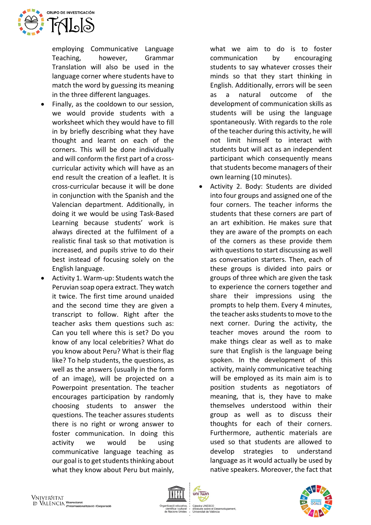

employing Communicative Language Teaching, however, Grammar Translation will also be used in the language corner where students have to match the word by guessing its meaning in the three different languages.

- Finally, as the cooldown to our session, we would provide students with a worksheet which they would have to fill in by briefly describing what they have thought and learnt on each of the corners. This will be done individually and will conform the first part of a crosscurricular activity which will have as an end result the creation of a leaflet. It is cross-curricular because it will be done in conjunction with the Spanish and the Valencian department. Additionally, in doing it we would be using Task-Based Learning because students' work is always directed at the fulfilment of a realistic final task so that motivation is increased, and pupils strive to do their best instead of focusing solely on the English language.
- Activity 1. Warm-up: Students watch the Peruvian soap opera extract. They watch it twice. The first time around unaided and the second time they are given a transcript to follow. Right after the teacher asks them questions such as: Can you tell where this is set? Do you know of any local celebrities? What do you know about Peru? What is their flag like? To help students, the questions, as well as the answers (usually in the form of an image), will be projected on a Powerpoint presentation. The teacher encourages participation by randomly choosing students to answer the questions. The teacher assures students there is no right or wrong answer to foster communication. In doing this activity we would be using communicative language teaching as our goal is to get students thinking about what they know about Peru but mainly,

what we aim to do is to foster communication by encouraging students to say whatever crosses their minds so that they start thinking in English. Additionally, errors will be seen as a natural outcome of the development of communication skills as students will be using the language spontaneously. With regards to the role of the teacher during this activity, he will not limit himself to interact with students but will act as an independent participant which consequently means that students become managers of their own learning (10 minutes).

• Activity 2. Body: Students are divided into four groups and assigned one of the four corners. The teacher informs the students that these corners are part of an art exhibition. He makes sure that they are aware of the prompts on each of the corners as these provide them with questions to start discussing as well as conversation starters. Then, each of these groups is divided into pairs or groups of three which are given the task to experience the corners together and share their impressions using the prompts to help them. Every 4 minutes, the teacher asks students to move to the next corner. During the activity, the teacher moves around the room to make things clear as well as to make sure that English is the language being spoken. In the development of this activity, mainly communicative teaching will be employed as its main aim is to position students as negotiators of meaning, that is, they have to make themselves understood within their group as well as to discuss their thoughts for each of their corners. Furthermore, authentic materials are used so that students are allowed to develop strategies to understand language as it would actually be used by native speakers. Moreover, the fact that



dis sobre el Des<br>sitat de València

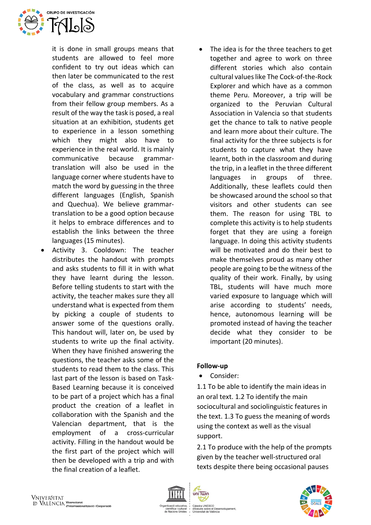

it is done in small groups means that students are allowed to feel more confident to try out ideas which can then later be communicated to the rest of the class, as well as to acquire vocabulary and grammar constructions from their fellow group members. As a result of the way the task is posed, a real situation at an exhibition, students get to experience in a lesson something which they might also have to experience in the real world. It is mainly communicative because grammartranslation will also be used in the language corner where students have to match the word by guessing in the three different languages (English, Spanish and Quechua). We believe grammartranslation to be a good option because it helps to embrace differences and to establish the links between the three languages (15 minutes).

- Activity 3. Cooldown: The teacher distributes the handout with prompts and asks students to fill it in with what they have learnt during the lesson. Before telling students to start with the activity, the teacher makes sure they all understand what is expected from them by picking a couple of students to answer some of the questions orally. This handout will, later on, be used by students to write up the final activity. When they have finished answering the questions, the teacher asks some of the students to read them to the class. This last part of the lesson is based on Task-Based Learning because it is conceived to be part of a project which has a final product the creation of a leaflet in collaboration with the Spanish and the Valencian department, that is the employment of a cross-curricular activity. Filling in the handout would be the first part of the project which will then be developed with a trip and with the final creation of a leaflet.
- The idea is for the three teachers to get together and agree to work on three different stories which also contain cultural values like The Cock-of-the-Rock Explorer and which have as a common theme Peru. Moreover, a trip will be organized to the Peruvian Cultural Association in Valencia so that students get the chance to talk to native people and learn more about their culture. The final activity for the three subjects is for students to capture what they have learnt, both in the classroom and during the trip, in a leaflet in the three different languages in groups of three. Additionally, these leaflets could then be showcased around the school so that visitors and other students can see them. The reason for using TBL to complete this activity is to help students forget that they are using a foreign language. In doing this activity students will be motivated and do their best to make themselves proud as many other people are going to be the witness of the quality of their work. Finally, by using TBL, students will have much more varied exposure to language which will arise according to students' needs, hence, autonomous learning will be promoted instead of having the teacher decide what they consider to be important (20 minutes).

### **Follow-up**

• Consider:

1.1 To be able to identify the main ideas in an oral text. 1.2 To identify the main sociocultural and sociolinguistic features in the text. 1.3 To guess the meaning of words using the context as well as the visual support.

2.1 To produce with the help of the prompts given by the teacher well-structured oral texts despite there being occasional pauses



uni Twin

Cátedra UNESCO<br>d'Estudis sobre el Desenvolupament, idis sobre el Des<br>rsitat de València

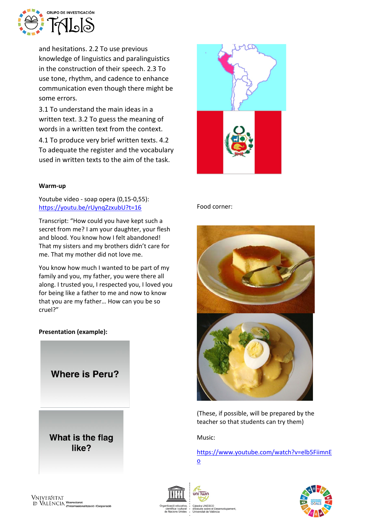

and hesitations. 2.2 To use previous knowledge of linguistics and paralinguistics in the construction of their speech. 2.3 To use tone, rhythm, and cadence to enhance communication even though there might be some errors.

3.1 To understand the main ideas in a written text. 3.2 To guess the meaning of words in a written text from the context.

4.1 To produce very brief written texts. 4.2 To adequate the register and the vocabulary used in written texts to the aim of the task.

#### **Warm-up**

Youtube video - soap opera (0,15-0,55)[:](https://youtu.be/rUynqZzxubU?t=16) <https://youtu.be/rUynqZzxubU?t=16>

Transcript: "How could you have kept such a secret from me? I am your daughter, your flesh and blood. You know how I felt abandoned! That my sisters and my brothers didn't care for me. That my mother did not love me.

You know how much I wanted to be part of my family and you, my father, you were there all along. I trusted you, I respected you, I loved you for being like a father to me and now to know that you are my father… How can you be so cruel?"

### **Presentation (example):**



What is the flag like?



#### Food corner:



(These, if possible, will be prepared by the teacher so that students can try them)

Music:

[https://www.youtube.com/watch?v=elb5FiimnE](https://www.youtube.com/watch?v=elb5FiimnEo) [o](https://www.youtube.com/watch?v=elb5FiimnEo)